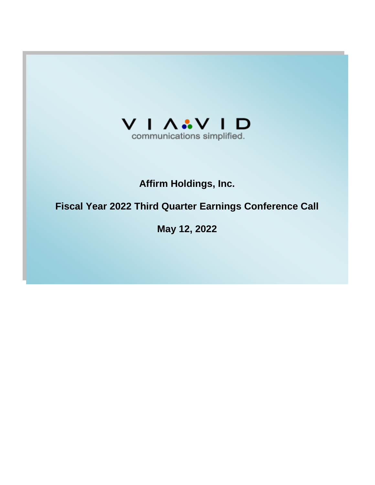

# **Affirm Holdings, Inc.**

# **Fiscal Year 2022 Third Quarter Earnings Conference Call**

**May 12, 2022**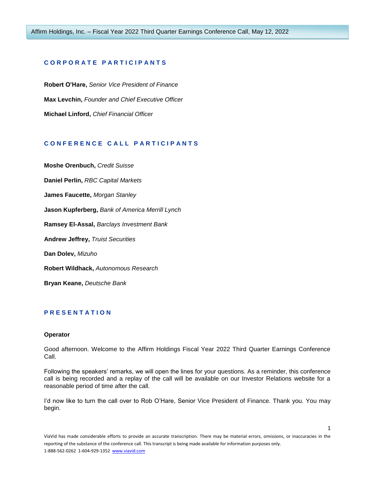## **C O R P O R A T E P A R T I C I P A N T S**

**Robert O'Hare,** *Senior Vice President of Finance* **Max Levchin,** *Founder and Chief Executive Officer* **Michael Linford,** *Chief Financial Officer*

# **C O N F E R E N C E C A L L P A R T I C I P A N T S**

**Moshe Orenbuch,** *Credit Suisse* **Daniel Perlin,** *RBC Capital Markets* **James Faucette,** *Morgan Stanley* **Jason Kupferberg,** *Bank of America Merrill Lynch* **Ramsey El-Assal,** *Barclays Investment Bank* **Andrew Jeffrey,** *Truist Securities* **Dan Dolev,** *Mizuho* **Robert Wildhack,** *Autonomous Research* **Bryan Keane,** *Deutsche Bank*

# **P R E S E N T A T I O N**

#### **Operator**

Good afternoon. Welcome to the Affirm Holdings Fiscal Year 2022 Third Quarter Earnings Conference Call.

Following the speakers' remarks, we will open the lines for your questions. As a reminder, this conference call is being recorded and a replay of the call will be available on our Investor Relations website for a reasonable period of time after the call.

I'd now like to turn the call over to Rob O'Hare, Senior Vice President of Finance. Thank you. You may begin.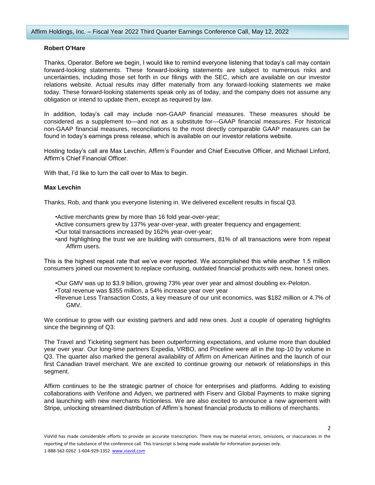## **Robert O'Hare**

Thanks, Operator. Before we begin, I would like to remind everyone listening that today's call may contain forward-looking statements. These forward-looking statements are subject to numerous risks and uncertainties, including those set forth in our filings with the SEC, which are available on our investor relations website. Actual results may differ materially from any forward-looking statements we make today. These forward-looking statements speak only as of today, and the company does not assume any obligation or intend to update them, except as required by law.

In addition, today's call may include non-GAAP financial measures. These measures should be considered as a supplement to—and not as a substitute for—GAAP financial measures. For historical non-GAAP financial measures, reconciliations to the most directly comparable GAAP measures can be found in today's earnings press release, which is available on our investor relations website.

Hosting today's call are Max Levchin, Affirm's Founder and Chief Executive Officer, and Michael Linford, Affirm's Chief Financial Officer.

With that, I'd like to turn the call over to Max to begin.

## **Max Levchin**

Thanks, Rob, and thank you everyone listening in. We delivered excellent results in fiscal Q3.

- •Active merchants grew by more than 16 fold year-over-year;
- •Active consumers grew by 137% year-over-year, with greater frequency and engagement;
- •Our total transactions increased by 162% year-over-year;
- •and highlighting the trust we are building with consumers, 81% of all transactions were from repeat Affirm users.

This is the highest repeat rate that we've ever reported. We accomplished this while another 1.5 million consumers joined our movement to replace confusing, outdated financial products with new, honest ones.

- •Our GMV was up to \$3.9 billion, growing 73% year over year and almost doubling ex-Peloton.
- •Total revenue was \$355 million, a 54% increase year over year
- •Revenue Less Transaction Costs, a key measure of our unit economics, was \$182 million or 4.7% of GMV.

We continue to grow with our existing partners and add new ones. Just a couple of operating highlights since the beginning of Q3:

The Travel and Ticketing segment has been outperforming expectations, and volume more than doubled year over year. Our long-time partners Expedia, VRBO, and Priceline were all in the top-10 by volume in Q3. The quarter also marked the general availability of Affirm on American Airlines and the launch of our first Canadian travel merchant. We are excited to continue growing our network of relationships in this segment.

Affirm continues to be the strategic partner of choice for enterprises and platforms. Adding to existing collaborations with Verifone and Adyen, we partnered with Fiserv and Global Payments to make signing and launching with new merchants frictionless. We are also excited to announce a new agreement with Stripe, unlocking streamlined distribution of Affirm's honest financial products to millions of merchants.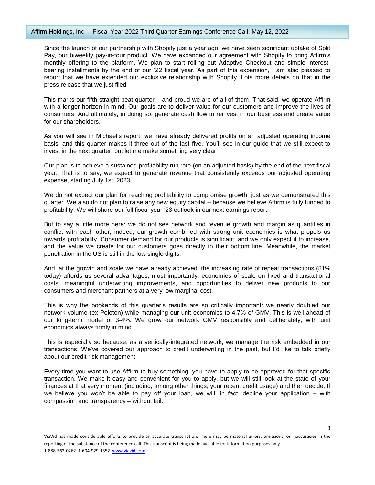#### Affirm Holdings, Inc. – Fiscal Year 2022 Third Quarter Earnings Conference Call, May 12, 2022

Since the launch of our partnership with Shopify just a year ago, we have seen significant uptake of Split Pay, our biweekly pay-in-four product. We have expanded our agreement with Shopify to bring Affirm's monthly offering to the platform. We plan to start rolling out Adaptive Checkout and simple interestbearing installments by the end of our '22 fiscal year. As part of this expansion, I am also pleased to report that we have extended our exclusive relationship with Shopify. Lots more details on that in the press release that we just filed.

This marks our fifth straight beat quarter – and proud we are of all of them. That said, we operate Affirm with a longer horizon in mind. Our goals are to deliver value for our customers and improve the lives of consumers. And ultimately, in doing so, generate cash flow to reinvest in our business and create value for our shareholders.

As you will see in Michael's report, we have already delivered profits on an adjusted operating income basis, and this quarter makes it three out of the last five. You'll see in our guide that we still expect to invest in the next quarter, but let me make something very clear.

Our plan is to achieve a sustained profitability run rate (on an adjusted basis) by the end of the next fiscal year. That is to say, we expect to generate revenue that consistently exceeds our adjusted operating expense, starting July 1st, 2023.

We do not expect our plan for reaching profitability to compromise growth, just as we demonstrated this quarter. We also do not plan to raise any new equity capital – because we believe Affirm is fully funded to profitability. We will share our full fiscal year '23 outlook in our next earnings report.

But to say a little more here: we do not see network and revenue growth and margin as quantities in conflict with each other; indeed, our growth combined with strong unit economics is what propels us towards profitability. Consumer demand for our products is significant, and we only expect it to increase, and the value we create for our customers goes directly to their bottom line. Meanwhile, the market penetration in the US is still in the low single digits.

And, at the growth and scale we have already achieved, the increasing rate of repeat transactions (81% today) affords us several advantages, most importantly, economies of scale on fixed and transactional costs, meaningful underwriting improvements, and opportunities to deliver new products to our consumers and merchant partners at a very low marginal cost.

This is why the bookends of this quarter's results are so critically important: we nearly doubled our network volume (ex Peloton) while managing our unit economics to 4.7% of GMV. This is well ahead of our long-term model of 3-4%. We grow our network GMV responsibly and deliberately, with unit economics always firmly in mind.

This is especially so because, as a vertically-integrated network, we manage the risk embedded in our transactions. We've covered our approach to credit underwriting in the past, but I'd like to talk briefly about our credit risk management.

Every time you want to use Affirm to buy something, you have to apply to be approved for that specific transaction. We make it easy and convenient for you to apply, but we will still look at the state of your finances at that very moment (including, among other things, your recent credit usage) and then decide. If we believe you won't be able to pay off your loan, we will, in fact, decline your application – with compassion and transparency – without fail.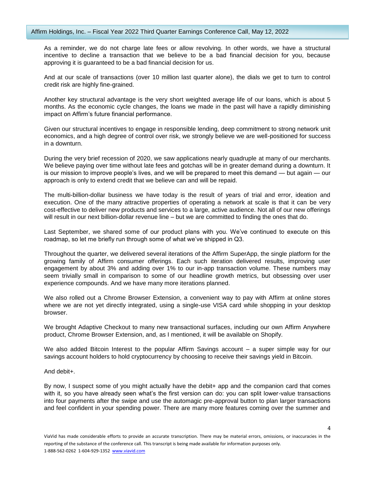As a reminder, we do not charge late fees or allow revolving. In other words, we have a structural incentive to decline a transaction that we believe to be a bad financial decision for you, because approving it is guaranteed to be a bad financial decision for us.

And at our scale of transactions (over 10 million last quarter alone), the dials we get to turn to control credit risk are highly fine-grained.

Another key structural advantage is the very short weighted average life of our loans, which is about 5 months. As the economic cycle changes, the loans we made in the past will have a rapidly diminishing impact on Affirm's future financial performance.

Given our structural incentives to engage in responsible lending, deep commitment to strong network unit economics, and a high degree of control over risk, we strongly believe we are well-positioned for success in a downturn.

During the very brief recession of 2020, we saw applications nearly quadruple at many of our merchants. We believe paying over time without late fees and gotchas will be in greater demand during a downturn. It is our mission to improve people's lives, and we will be prepared to meet this demand — but again — our approach is only to extend credit that we believe can and will be repaid.

The multi-billion-dollar business we have today is the result of years of trial and error, ideation and execution. One of the many attractive properties of operating a network at scale is that it can be very cost-effective to deliver new products and services to a large, active audience. Not all of our new offerings will result in our next billion-dollar revenue line – but we are committed to finding the ones that do.

Last September, we shared some of our product plans with you. We've continued to execute on this roadmap, so let me briefly run through some of what we've shipped in Q3.

Throughout the quarter, we delivered several iterations of the Affirm SuperApp, the single platform for the growing family of Affirm consumer offerings. Each such iteration delivered results, improving user engagement by about 3% and adding over 1% to our in-app transaction volume. These numbers may seem trivially small in comparison to some of our headline growth metrics, but obsessing over user experience compounds. And we have many more iterations planned.

We also rolled out a Chrome Browser Extension, a convenient way to pay with Affirm at online stores where we are not yet directly integrated, using a single-use VISA card while shopping in your desktop browser.

We brought Adaptive Checkout to many new transactional surfaces, including our own Affirm Anywhere product, Chrome Browser Extension, and, as I mentioned, it will be available on Shopify.

We also added Bitcoin Interest to the popular Affirm Savings account – a super simple way for our savings account holders to hold cryptocurrency by choosing to receive their savings yield in Bitcoin.

And debit+.

By now, I suspect some of you might actually have the debit+ app and the companion card that comes with it, so you have already seen what's the first version can do: you can split lower-value transactions into four payments after the swipe and use the automagic pre-approval button to plan larger transactions and feel confident in your spending power. There are many more features coming over the summer and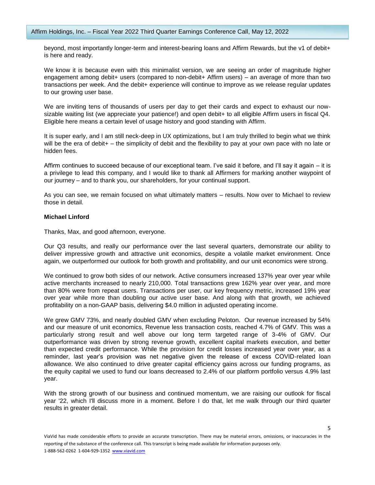beyond, most importantly longer-term and interest-bearing loans and Affirm Rewards, but the v1 of debit+ is here and ready.

We know it is because even with this minimalist version, we are seeing an order of magnitude higher engagement among debit+ users (compared to non-debit+ Affirm users) – an average of more than two transactions per week. And the debit+ experience will continue to improve as we release regular updates to our growing user base.

We are inviting tens of thousands of users per day to get their cards and expect to exhaust our nowsizable waiting list (we appreciate your patience!) and open debit+ to all eligible Affirm users in fiscal Q4. Eligible here means a certain level of usage history and good standing with Affirm.

It is super early, and I am still neck-deep in UX optimizations, but I am truly thrilled to begin what we think will be the era of debit+ – the simplicity of debit and the flexibility to pay at your own pace with no late or hidden fees.

Affirm continues to succeed because of our exceptional team. I've said it before, and I'll say it again – it is a privilege to lead this company, and I would like to thank all Affirmers for marking another waypoint of our journey – and to thank you, our shareholders, for your continual support.

As you can see, we remain focused on what ultimately matters – results. Now over to Michael to review those in detail.

## **Michael Linford**

Thanks, Max, and good afternoon, everyone.

Our Q3 results, and really our performance over the last several quarters, demonstrate our ability to deliver impressive growth and attractive unit economics, despite a volatile market environment. Once again, we outperformed our outlook for both growth and profitability, and our unit economics were strong.

We continued to grow both sides of our network. Active consumers increased 137% year over year while active merchants increased to nearly 210,000. Total transactions grew 162% year over year, and more than 80% were from repeat users. Transactions per user, our key frequency metric, increased 19% year over year while more than doubling our active user base. And along with that growth, we achieved profitability on a non-GAAP basis, delivering \$4.0 million in adjusted operating income.

We grew GMV 73%, and nearly doubled GMV when excluding Peloton. Our revenue increased by 54% and our measure of unit economics, Revenue less transaction costs, reached 4.7% of GMV. This was a particularly strong result and well above our long term targeted range of 3-4% of GMV. Our outperformance was driven by strong revenue growth, excellent capital markets execution, and better than expected credit performance. While the provision for credit losses increased year over year, as a reminder, last year's provision was net negative given the release of excess COVID-related loan allowance. We also continued to drive greater capital efficiency gains across our funding programs, as the equity capital we used to fund our loans decreased to 2.4% of our platform portfolio versus 4.9% last year.

With the strong growth of our business and continued momentum, we are raising our outlook for fiscal year '22, which I'll discuss more in a moment. Before I do that, let me walk through our third quarter results in greater detail.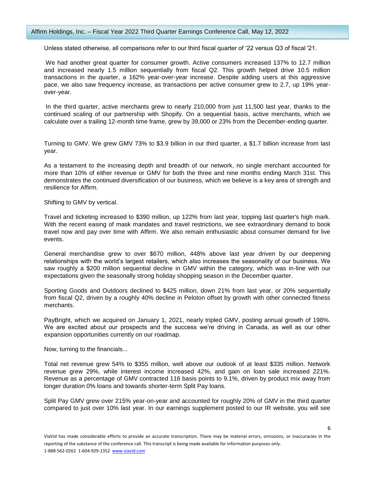#### Affirm Holdings, Inc. – Fiscal Year 2022 Third Quarter Earnings Conference Call, May 12, 2022

Unless stated otherwise, all comparisons refer to our third fiscal quarter of '22 versus Q3 of fiscal '21.

We had another great quarter for consumer growth. Active consumers increased 137% to 12.7 million and increased nearly 1.5 million sequentially from fiscal Q2. This growth helped drive 10.5 million transactions in the quarter, a 162% year-over-year increase. Despite adding users at this aggressive pace, we also saw frequency increase, as transactions per active consumer grew to 2.7, up 19% yearover-year.

In the third quarter, active merchants grew to nearly 210,000 from just 11,500 last year, thanks to the continued scaling of our partnership with Shopify. On a sequential basis, active merchants, which we calculate over a trailing 12-month time frame, grew by 39,000 or 23% from the December-ending quarter.

Turning to GMV. We grew GMV 73% to \$3.9 billion in our third quarter, a \$1.7 billion increase from last year.

As a testament to the increasing depth and breadth of our network, no single merchant accounted for more than 10% of either revenue or GMV for both the three and nine months ending March 31st. This demonstrates the continued diversification of our business, which we believe is a key area of strength and resilience for Affirm.

Shifting to GMV by vertical.

Travel and ticketing increased to \$390 million, up 122% from last year, topping last quarter's high mark. With the recent easing of mask mandates and travel restrictions, we see extraordinary demand to book travel now and pay over time with Affirm. We also remain enthusiastic about consumer demand for live events.

General merchandise grew to over \$670 million, 448% above last year driven by our deepening relationships with the world's largest retailers, which also increases the seasonality of our business. We saw roughly a \$200 million sequential decline in GMV within the category, which was in-line with our expectations given the seasonally strong holiday shopping season in the December quarter.

Sporting Goods and Outdoors declined to \$425 million, down 21% from last year, or 20% sequentially from fiscal Q2, driven by a roughly 40% decline in Peloton offset by growth with other connected fitness merchants.

PayBright, which we acquired on January 1, 2021, nearly tripled GMV, posting annual growth of 198%. We are excited about our prospects and the success we're driving in Canada, as well as our other expansion opportunities currently on our roadmap.

Now, turning to the financials...

Total net revenue grew 54% to \$355 million, well above our outlook of at least \$335 million. Network revenue grew 29%, while interest income increased 42%, and gain on loan sale increased 221%. Revenue as a percentage of GMV contracted 116 basis points to 9.1%, driven by product mix away from longer duration 0% loans and towards shorter-term Split Pay loans.

Split Pay GMV grew over 215% year-on-year and accounted for roughly 20% of GMV in the third quarter compared to just over 10% last year. In our earnings supplement posted to our IR website, you will see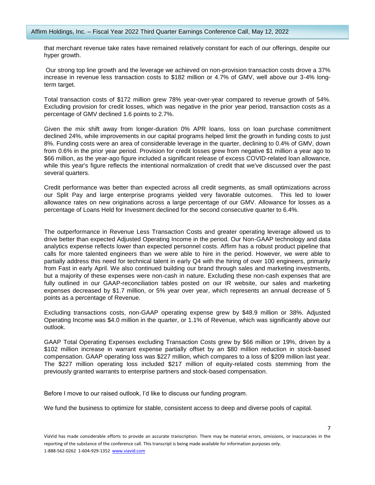that merchant revenue take rates have remained relatively constant for each of our offerings, despite our hyper growth.

Our strong top line growth and the leverage we achieved on non-provision transaction costs drove a 37% increase in revenue less transaction costs to \$182 million or 4.7% of GMV, well above our 3-4% longterm target.

Total transaction costs of \$172 million grew 78% year-over-year compared to revenue growth of 54%. Excluding provision for credit losses, which was negative in the prior year period, transaction costs as a percentage of GMV declined 1.6 points to 2.7%.

Given the mix shift away from longer-duration 0% APR loans, loss on loan purchase commitment declined 24%, while improvements in our capital programs helped limit the growth in funding costs to just 8%. Funding costs were an area of considerable leverage in the quarter, declining to 0.4% of GMV, down from 0.6% in the prior year period. Provision for credit losses grew from negative \$1 million a year ago to \$66 million, as the year-ago figure included a significant release of excess COVID-related loan allowance, while this year's figure reflects the intentional normalization of credit that we've discussed over the past several quarters.

Credit performance was better than expected across all credit segments, as small optimizations across our Split Pay and large enterprise programs yielded very favorable outcomes. This led to lower allowance rates on new originations across a large percentage of our GMV. Allowance for losses as a percentage of Loans Held for Investment declined for the second consecutive quarter to 6.4%.

The outperformance in Revenue Less Transaction Costs and greater operating leverage allowed us to drive better than expected Adjusted Operating Income in the period. Our Non-GAAP technology and data analytics expense reflects lower than expected personnel costs. Affirm has a robust product pipeline that calls for more talented engineers than we were able to hire in the period. However, we were able to partially address this need for technical talent in early Q4 with the hiring of over 100 engineers, primarily from Fast in early April. We also continued building our brand through sales and marketing investments, but a majority of these expenses were non-cash in nature. Excluding these non-cash expenses that are fully outlined in our GAAP-reconciliation tables posted on our IR website, our sales and marketing expenses decreased by \$1.7 million, or 5% year over year, which represents an annual decrease of 5 points as a percentage of Revenue.

Excluding transactions costs, non-GAAP operating expense grew by \$48.9 million or 38%. Adjusted Operating Income was \$4.0 million in the quarter, or 1.1% of Revenue, which was significantly above our outlook.

GAAP Total Operating Expenses excluding Transaction Costs grew by \$66 million or 19%, driven by a \$102 million increase in warrant expense partially offset by an \$80 million reduction in stock-based compensation. GAAP operating loss was \$227 million, which compares to a loss of \$209 million last year. The \$227 million operating loss included \$217 million of equity-related costs stemming from the previously granted warrants to enterprise partners and stock-based compensation.

Before I move to our raised outlook, I'd like to discuss our funding program.

We fund the business to optimize for stable, consistent access to deep and diverse pools of capital.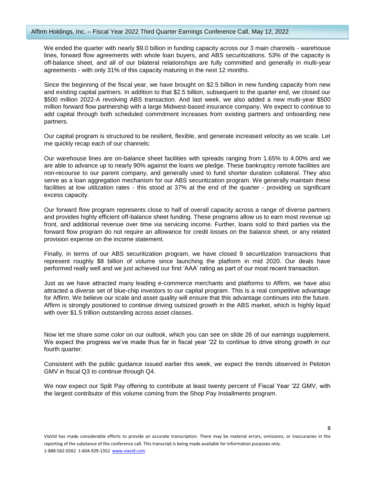We ended the quarter with nearly \$9.0 billion in funding capacity across our 3 main channels - warehouse lines, forward flow agreements with whole loan buyers, and ABS securitizations. 53% of the capacity is off-balance sheet, and all of our bilateral relationships are fully committed and generally in multi-year agreements - with only 31% of this capacity maturing in the next 12 months.

Since the beginning of the fiscal year, we have brought on \$2.5 billion in new funding capacity from new and existing capital partners. In addition to that \$2.5 billion, subsequent to the quarter end, we closed our \$500 million 2022-A revolving ABS transaction. And last week, we also added a new multi-year \$500 million forward flow partnership with a large Midwest-based insurance company. We expect to continue to add capital through both scheduled commitment increases from existing partners and onboarding new partners.

Our capital program is structured to be resilient, flexible, and generate increased velocity as we scale. Let me quickly recap each of our channels:

Our warehouse lines are on-balance sheet facilities with spreads ranging from 1.65% to 4.00% and we are able to advance up to nearly 90% against the loans we pledge. These bankruptcy remote facilities are non-recourse to our parent company, and generally used to fund shorter duration collateral. They also serve as a loan aggregation mechanism for our ABS securitization program. We generally maintain these facilities at low utilization rates - this stood at 37% at the end of the quarter - providing us significant excess capacity.

Our forward flow program represents close to half of overall capacity across a range of diverse partners and provides highly efficient off-balance sheet funding. These programs allow us to earn most revenue up front, and additional revenue over time via servicing income. Further, loans sold to third parties via the forward flow program do not require an allowance for credit losses on the balance sheet, or any related provision expense on the income statement.

Finally, in terms of our ABS securitization program, we have closed 9 securitization transactions that represent roughly \$8 billion of volume since launching the platform in mid 2020. Our deals have performed really well and we just achieved our first 'AAA' rating as part of our most recent transaction.

Just as we have attracted many leading e-commerce merchants and platforms to Affirm, we have also attracted a diverse set of blue-chip investors to our capital program. This is a real competitive advantage for Affirm. We believe our scale and asset quality will ensure that this advantage continues into the future. Affirm is strongly positioned to continue driving outsized growth in the ABS market, which is highly liquid with over \$1.5 trillion outstanding across asset classes.

Now let me share some color on our outlook, which you can see on slide 26 of our earnings supplement. We expect the progress we've made thus far in fiscal year '22 to continue to drive strong growth in our fourth quarter.

Consistent with the public guidance issued earlier this week, we expect the trends observed in Peloton GMV in fiscal Q3 to continue through Q4.

We now expect our Split Pay offering to contribute at least twenty percent of Fiscal Year '22 GMV, with the largest contributor of this volume coming from the Shop Pay Installments program.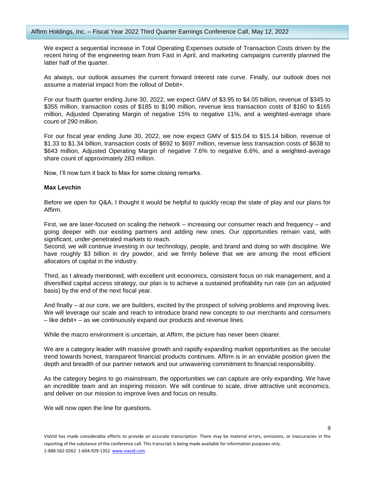We expect a sequential increase in Total Operating Expenses outside of Transaction Costs driven by the recent hiring of the engineering team from Fast in April, and marketing campaigns currently planned the latter half of the quarter.

As always, our outlook assumes the current forward interest rate curve. Finally, our outlook does not assume a material impact from the rollout of Debit+.

For our fourth quarter ending June 30, 2022, we expect GMV of \$3.95 to \$4.05 billion, revenue of \$345 to \$355 million, transaction costs of \$185 to \$190 million, revenue less transaction costs of \$160 to \$165 million, Adjusted Operating Margin of negative 15% to negative 11%, and a weighted-average share count of 290 million.

For our fiscal year ending June 30, 2022, we now expect GMV of \$15.04 to \$15.14 billion, revenue of \$1.33 to \$1.34 billion, transaction costs of \$692 to \$697 million, revenue less transaction costs of \$638 to \$643 million, Adjusted Operating Margin of negative 7.6% to negative 6.6%, and a weighted-average share count of approximately 283 million.

Now, I'll now turn it back to Max for some closing remarks.

## **Max Levchin**

Before we open for Q&A, I thought it would be helpful to quickly recap the state of play and our plans for Affirm.

First, we are laser-focused on scaling the network – increasing our consumer reach and frequency – and going deeper with our existing partners and adding new ones. Our opportunities remain vast, with significant, under-penetrated markets to reach.

Second, we will continue investing in our technology, people, and brand and doing so with discipline. We have roughly \$3 billion in dry powder, and we firmly believe that we are among the most efficient allocators of capital in the industry.

Third, as I already mentioned, with excellent unit economics, consistent focus on risk management, and a diversified capital access strategy, our plan is to achieve a sustained profitability run rate (on an adjusted basis) by the end of the next fiscal year.

And finally – at our core, we are builders, excited by the prospect of solving problems and improving lives. We will leverage our scale and reach to introduce brand new concepts to our merchants and consumers – like debit+ – as we continuously expand our products and revenue lines.

While the macro environment is uncertain, at Affirm, the picture has never been clearer.

We are a category leader with massive growth and rapidly expanding market opportunities as the secular trend towards honest, transparent financial products continues. Affirm is in an enviable position given the depth and breadth of our partner network and our unwavering commitment to financial responsibility.

As the category begins to go mainstream, the opportunities we can capture are only expanding. We have an incredible team and an inspiring mission. We will continue to scale, drive attractive unit economics, and deliver on our mission to improve lives and focus on results.

We will now open the line for questions.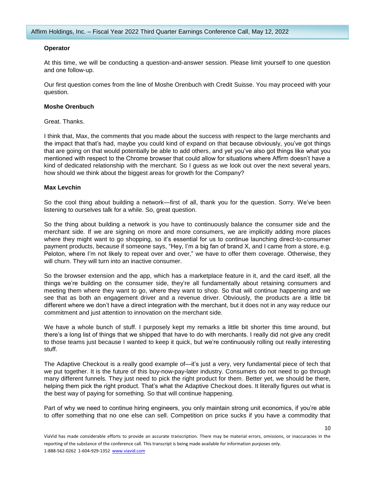#### **Operator**

At this time, we will be conducting a question-and-answer session. Please limit yourself to one question and one follow-up.

Our first question comes from the line of Moshe Orenbuch with Credit Suisse. You may proceed with your question.

#### **Moshe Orenbuch**

Great. Thanks.

I think that, Max, the comments that you made about the success with respect to the large merchants and the impact that that's had, maybe you could kind of expand on that because obviously, you've got things that are going on that would potentially be able to add others, and yet you've also got things like what you mentioned with respect to the Chrome browser that could allow for situations where Affirm doesn't have a kind of dedicated relationship with the merchant. So I guess as we look out over the next several years, how should we think about the biggest areas for growth for the Company?

#### **Max Levchin**

So the cool thing about building a network—first of all, thank you for the question. Sorry. We've been listening to ourselves talk for a while. So, great question.

So the thing about building a network is you have to continuously balance the consumer side and the merchant side. If we are signing on more and more consumers, we are implicitly adding more places where they might want to go shopping, so it's essential for us to continue launching direct-to-consumer payment products, because if someone says, "Hey, I'm a big fan of brand X, and I came from a store, e.g. Peloton, where I'm not likely to repeat over and over," we have to offer them coverage. Otherwise, they will churn. They will turn into an inactive consumer.

So the browser extension and the app, which has a marketplace feature in it, and the card itself, all the things we're building on the consumer side, they're all fundamentally about retaining consumers and meeting them where they want to go, where they want to shop. So that will continue happening and we see that as both an engagement driver and a revenue driver. Obviously, the products are a little bit different where we don't have a direct integration with the merchant, but it does not in any way reduce our commitment and just attention to innovation on the merchant side.

We have a whole bunch of stuff. I purposely kept my remarks a little bit shorter this time around, but there's a long list of things that we shipped that have to do with merchants. I really did not give any credit to those teams just because I wanted to keep it quick, but we're continuously rolling out really interesting stuff.

The Adaptive Checkout is a really good example of—it's just a very, very fundamental piece of tech that we put together. It is the future of this buy-now-pay-later industry. Consumers do not need to go through many different funnels. They just need to pick the right product for them. Better yet, we should be there, helping them pick the right product. That's what the Adaptive Checkout does. It literally figures out what is the best way of paying for something. So that will continue happening.

Part of why we need to continue hiring engineers, you only maintain strong unit economics, if you're able to offer something that no one else can sell. Competition on price sucks if you have a commodity that

ViaVid has made considerable efforts to provide an accurate transcription. There may be material errors, omissions, or inaccuracies in the reporting of the substance of the conference call. This transcript is being made available for information purposes only. 1-888-562-0262 1-604-929-1352 [www.viavid.com](http://www.viavid.com/)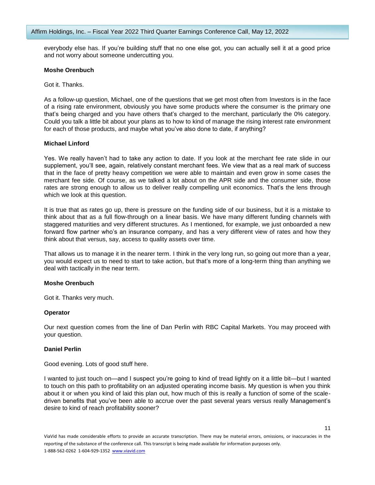everybody else has. If you're building stuff that no one else got, you can actually sell it at a good price and not worry about someone undercutting you.

#### **Moshe Orenbuch**

Got it. Thanks.

As a follow-up question, Michael, one of the questions that we get most often from Investors is in the face of a rising rate environment, obviously you have some products where the consumer is the primary one that's being charged and you have others that's charged to the merchant, particularly the 0% category. Could you talk a little bit about your plans as to how to kind of manage the rising interest rate environment for each of those products, and maybe what you've also done to date, if anything?

## **Michael Linford**

Yes. We really haven't had to take any action to date. If you look at the merchant fee rate slide in our supplement, you'll see, again, relatively constant merchant fees. We view that as a real mark of success that in the face of pretty heavy competition we were able to maintain and even grow in some cases the merchant fee side. Of course, as we talked a lot about on the APR side and the consumer side, those rates are strong enough to allow us to deliver really compelling unit economics. That's the lens through which we look at this question.

It is true that as rates go up, there is pressure on the funding side of our business, but it is a mistake to think about that as a full flow-through on a linear basis. We have many different funding channels with staggered maturities and very different structures. As I mentioned, for example, we just onboarded a new forward flow partner who's an insurance company, and has a very different view of rates and how they think about that versus, say, access to quality assets over time.

That allows us to manage it in the nearer term. I think in the very long run, so going out more than a year, you would expect us to need to start to take action, but that's more of a long-term thing than anything we deal with tactically in the near term.

## **Moshe Orenbuch**

Got it. Thanks very much.

## **Operator**

Our next question comes from the line of Dan Perlin with RBC Capital Markets. You may proceed with your question.

## **Daniel Perlin**

Good evening. Lots of good stuff here.

I wanted to just touch on—and I suspect you're going to kind of tread lightly on it a little bit—but I wanted to touch on this path to profitability on an adjusted operating income basis. My question is when you think about it or when you kind of laid this plan out, how much of this is really a function of some of the scaledriven benefits that you've been able to accrue over the past several years versus really Management's desire to kind of reach profitability sooner?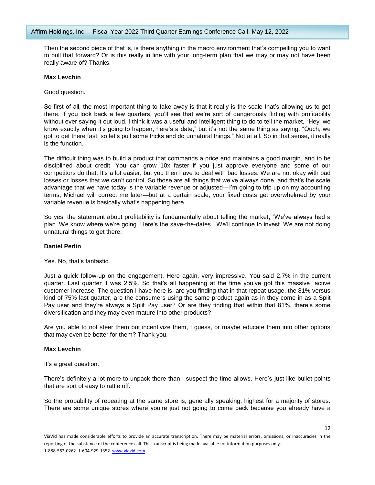Then the second piece of that is, is there anything in the macro environment that's compelling you to want to pull that forward? Or is this really in line with your long-term plan that we may or may not have been really aware of? Thanks.

#### **Max Levchin**

Good question.

So first of all, the most important thing to take away is that it really is the scale that's allowing us to get there. If you look back a few quarters, you'll see that we're sort of dangerously flirting with profitability without ever saying it out loud. I think it was a useful and intelligent thing to do to tell the market, "Hey, we know exactly when it's going to happen; here's a date," but it's not the same thing as saying, "Ouch, we got to get there fast, so let's pull some tricks and do unnatural things." Not at all. So in that sense, it really is the function.

The difficult thing was to build a product that commands a price and maintains a good margin, and to be disciplined about credit. You can grow 10x faster if you just approve everyone and some of our competitors do that. It's a lot easier, but you then have to deal with bad losses. We are not okay with bad losses or losses that we can't control. So those are all things that we've always done, and that's the scale advantage that we have today is the variable revenue or adjusted—I'm going to trip up on my accounting terms, Michael will correct me later—but at a certain scale, your fixed costs get overwhelmed by your variable revenue is basically what's happening here.

So yes, the statement about profitability is fundamentally about telling the market, "We've always had a plan. We know where we're going. Here's the save-the-dates." We'll continue to invest. We are not doing unnatural things to get there.

## **Daniel Perlin**

Yes. No, that's fantastic.

Just a quick follow-up on the engagement. Here again, very impressive. You said 2.7% in the current quarter. Last quarter it was 2.5%. So that's all happening at the time you've got this massive, active customer increase. The question I have here is, are you finding that in that repeat usage, the 81% versus kind of 75% last quarter, are the consumers using the same product again as in they come in as a Split Pay user and they're always a Split Pay user? Or are they finding that within that 81%, there's some diversification and they may even mature into other products?

Are you able to not steer them but incentivize them, I guess, or maybe educate them into other options that may even be better for them? Thank you.

#### **Max Levchin**

It's a great question.

There's definitely a lot more to unpack there than I suspect the time allows. Here's just like bullet points that are sort of easy to rattle off.

So the probability of repeating at the same store is, generally speaking, highest for a majority of stores. There are some unique stores where you're just not going to come back because you already have a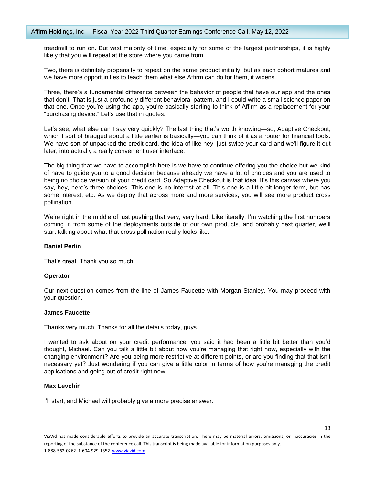treadmill to run on. But vast majority of time, especially for some of the largest partnerships, it is highly likely that you will repeat at the store where you came from.

Two, there is definitely propensity to repeat on the same product initially, but as each cohort matures and we have more opportunities to teach them what else Affirm can do for them, it widens.

Three, there's a fundamental difference between the behavior of people that have our app and the ones that don't. That is just a profoundly different behavioral pattern, and I could write a small science paper on that one. Once you're using the app, you're basically starting to think of Affirm as a replacement for your "purchasing device." Let's use that in quotes.

Let's see, what else can I say very quickly? The last thing that's worth knowing—so, Adaptive Checkout, which I sort of bragged about a little earlier is basically—you can think of it as a router for financial tools. We have sort of unpacked the credit card, the idea of like hey, just swipe your card and we'll figure it out later, into actually a really convenient user interface.

The big thing that we have to accomplish here is we have to continue offering you the choice but we kind of have to guide you to a good decision because already we have a lot of choices and you are used to being no choice version of your credit card. So Adaptive Checkout is that idea. It's this canvas where you say, hey, here's three choices. This one is no interest at all. This one is a little bit longer term, but has some interest, etc. As we deploy that across more and more services, you will see more product cross pollination.

We're right in the middle of just pushing that very, very hard. Like literally, I'm watching the first numbers coming in from some of the deployments outside of our own products, and probably next quarter, we'll start talking about what that cross pollination really looks like.

## **Daniel Perlin**

That's great. Thank you so much.

#### **Operator**

Our next question comes from the line of James Faucette with Morgan Stanley. You may proceed with your question.

#### **James Faucette**

Thanks very much. Thanks for all the details today, guys.

I wanted to ask about on your credit performance, you said it had been a little bit better than you'd thought, Michael. Can you talk a little bit about how you're managing that right now, especially with the changing environment? Are you being more restrictive at different points, or are you finding that that isn't necessary yet? Just wondering if you can give a little color in terms of how you're managing the credit applications and going out of credit right now.

## **Max Levchin**

I'll start, and Michael will probably give a more precise answer.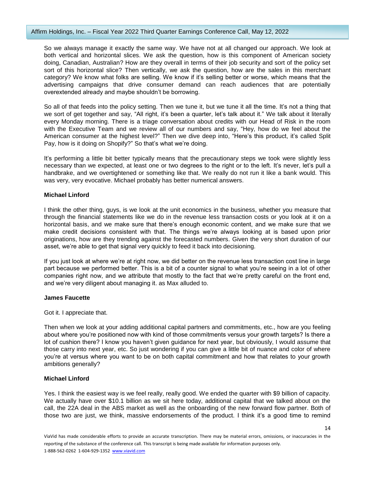So we always manage it exactly the same way. We have not at all changed our approach. We look at both vertical and horizontal slices. We ask the question, how is this component of American society doing, Canadian, Australian? How are they overall in terms of their job security and sort of the policy set sort of this horizontal slice? Then vertically, we ask the question, how are the sales in this merchant category? We know what folks are selling. We know if it's selling better or worse, which means that the advertising campaigns that drive consumer demand can reach audiences that are potentially overextended already and maybe shouldn't be borrowing.

So all of that feeds into the policy setting. Then we tune it, but we tune it all the time. It's not a thing that we sort of get together and say, "All right, it's been a quarter, let's talk about it." We talk about it literally every Monday morning. There is a triage conversation about credits with our Head of Risk in the room with the Executive Team and we review all of our numbers and say, "Hey, how do we feel about the American consumer at the highest level?" Then we dive deep into, "Here's this product, it's called Split Pay, how is it doing on Shopify?" So that's what we're doing.

It's performing a little bit better typically means that the precautionary steps we took were slightly less necessary than we expected, at least one or two degrees to the right or to the left. It's never, let's pull a handbrake, and we overtightened or something like that. We really do not run it like a bank would. This was very, very evocative. Michael probably has better numerical answers.

## **Michael Linford**

I think the other thing, guys, is we look at the unit economics in the business, whether you measure that through the financial statements like we do in the revenue less transaction costs or you look at it on a horizontal basis, and we make sure that there's enough economic content, and we make sure that we make credit decisions consistent with that. The things we're always looking at is based upon prior originations, how are they trending against the forecasted numbers. Given the very short duration of our asset, we're able to get that signal very quickly to feed it back into decisioning.

If you just look at where we're at right now, we did better on the revenue less transaction cost line in large part because we performed better. This is a bit of a counter signal to what you're seeing in a lot of other companies right now, and we attribute that mostly to the fact that we're pretty careful on the front end, and we're very diligent about managing it. as Max alluded to.

## **James Faucette**

## Got it. I appreciate that.

Then when we look at your adding additional capital partners and commitments, etc., how are you feeling about where you're positioned now with kind of those commitments versus your growth targets? Is there a lot of cushion there? I know you haven't given guidance for next year, but obviously, I would assume that those carry into next year, etc. So just wondering if you can give a little bit of nuance and color of where you're at versus where you want to be on both capital commitment and how that relates to your growth ambitions generally?

# **Michael Linford**

Yes. I think the easiest way is we feel really, really good. We ended the quarter with \$9 billion of capacity. We actually have over \$10.1 billion as we sit here today, additional capital that we talked about on the call, the 22A deal in the ABS market as well as the onboarding of the new forward flow partner. Both of those two are just, we think, massive endorsements of the product. I think it's a good time to remind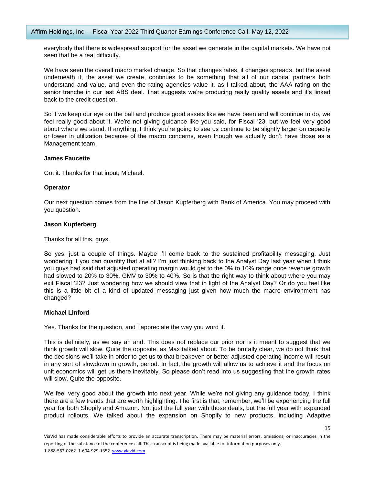everybody that there is widespread support for the asset we generate in the capital markets. We have not seen that be a real difficulty.

We have seen the overall macro market change. So that changes rates, it changes spreads, but the asset underneath it, the asset we create, continues to be something that all of our capital partners both understand and value, and even the rating agencies value it, as I talked about, the AAA rating on the senior tranche in our last ABS deal. That suggests we're producing really quality assets and it's linked back to the credit question.

So if we keep our eye on the ball and produce good assets like we have been and will continue to do, we feel really good about it. We're not giving guidance like you said, for Fiscal '23, but we feel very good about where we stand. If anything, I think you're going to see us continue to be slightly larger on capacity or lower in utilization because of the macro concerns, even though we actually don't have those as a Management team.

#### **James Faucette**

Got it. Thanks for that input, Michael.

#### **Operator**

Our next question comes from the line of Jason Kupferberg with Bank of America. You may proceed with you question.

#### **Jason Kupferberg**

Thanks for all this, guys.

So yes, just a couple of things. Maybe I'll come back to the sustained profitability messaging. Just wondering if you can quantify that at all? I'm just thinking back to the Analyst Day last year when I think you guys had said that adjusted operating margin would get to the 0% to 10% range once revenue growth had slowed to 20% to 30%, GMV to 30% to 40%. So is that the right way to think about where you may exit Fiscal '23? Just wondering how we should view that in light of the Analyst Day? Or do you feel like this is a little bit of a kind of updated messaging just given how much the macro environment has changed?

## **Michael Linford**

Yes. Thanks for the question, and I appreciate the way you word it.

This is definitely, as we say an and. This does not replace our prior nor is it meant to suggest that we think growth will slow. Quite the opposite, as Max talked about. To be brutally clear, we do not think that the decisions we'll take in order to get us to that breakeven or better adjusted operating income will result in any sort of slowdown in growth, period. In fact, the growth will allow us to achieve it and the focus on unit economics will get us there inevitably. So please don't read into us suggesting that the growth rates will slow. Quite the opposite.

We feel very good about the growth into next year. While we're not giving any guidance today, I think there are a few trends that are worth highlighting. The first is that, remember, we'll be experiencing the full year for both Shopify and Amazon. Not just the full year with those deals, but the full year with expanded product rollouts. We talked about the expansion on Shopify to new products, including Adaptive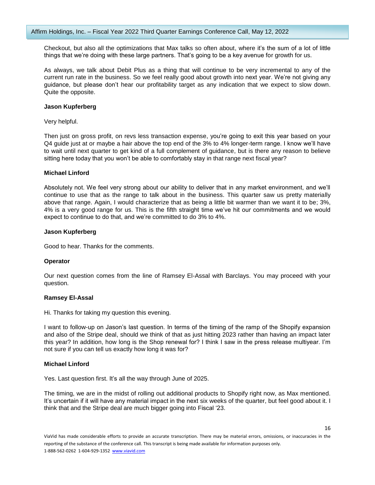Checkout, but also all the optimizations that Max talks so often about, where it's the sum of a lot of little things that we're doing with these large partners. That's going to be a key avenue for growth for us.

As always, we talk about Debit Plus as a thing that will continue to be very incremental to any of the current run rate in the business. So we feel really good about growth into next year. We're not giving any guidance, but please don't hear our profitability target as any indication that we expect to slow down. Quite the opposite.

#### **Jason Kupferberg**

Very helpful.

Then just on gross profit, on revs less transaction expense, you're going to exit this year based on your Q4 guide just at or maybe a hair above the top end of the 3% to 4% longer-term range. I know we'll have to wait until next quarter to get kind of a full complement of guidance, but is there any reason to believe sitting here today that you won't be able to comfortably stay in that range next fiscal year?

#### **Michael Linford**

Absolutely not. We feel very strong about our ability to deliver that in any market environment, and we'll continue to use that as the range to talk about in the business. This quarter saw us pretty materially above that range. Again, I would characterize that as being a little bit warmer than we want it to be; 3%, 4% is a very good range for us. This is the fifth straight time we've hit our commitments and we would expect to continue to do that, and we're committed to do 3% to 4%.

#### **Jason Kupferberg**

Good to hear. Thanks for the comments.

## **Operator**

Our next question comes from the line of Ramsey El-Assal with Barclays. You may proceed with your question.

## **Ramsey El-Assal**

Hi. Thanks for taking my question this evening.

I want to follow-up on Jason's last question. In terms of the timing of the ramp of the Shopify expansion and also of the Stripe deal, should we think of that as just hitting 2023 rather than having an impact later this year? In addition, how long is the Shop renewal for? I think I saw in the press release multiyear. I'm not sure if you can tell us exactly how long it was for?

## **Michael Linford**

Yes. Last question first. It's all the way through June of 2025.

The timing, we are in the midst of rolling out additional products to Shopify right now, as Max mentioned. It's uncertain if it will have any material impact in the next six weeks of the quarter, but feel good about it. I think that and the Stripe deal are much bigger going into Fiscal '23.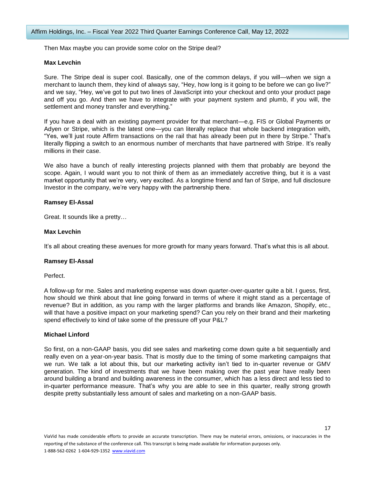Then Max maybe you can provide some color on the Stripe deal?

## **Max Levchin**

Sure. The Stripe deal is super cool. Basically, one of the common delays, if you will—when we sign a merchant to launch them, they kind of always say, "Hey, how long is it going to be before we can go live?" and we say, "Hey, we've got to put two lines of JavaScript into your checkout and onto your product page and off you go. And then we have to integrate with your payment system and plumb, if you will, the settlement and money transfer and everything."

If you have a deal with an existing payment provider for that merchant—e.g. FIS or Global Payments or Adyen or Stripe, which is the latest one—you can literally replace that whole backend integration with, "Yes, we'll just route Affirm transactions on the rail that has already been put in there by Stripe." That's literally flipping a switch to an enormous number of merchants that have partnered with Stripe. It's really millions in their case.

We also have a bunch of really interesting projects planned with them that probably are beyond the scope. Again, I would want you to not think of them as an immediately accretive thing, but it is a vast market opportunity that we're very, very excited. As a longtime friend and fan of Stripe, and full disclosure Investor in the company, we're very happy with the partnership there.

#### **Ramsey El-Assal**

Great. It sounds like a pretty…

#### **Max Levchin**

It's all about creating these avenues for more growth for many years forward. That's what this is all about.

#### **Ramsey El-Assal**

Perfect.

A follow-up for me. Sales and marketing expense was down quarter-over-quarter quite a bit. I guess, first, how should we think about that line going forward in terms of where it might stand as a percentage of revenue? But in addition, as you ramp with the larger platforms and brands like Amazon, Shopify, etc., will that have a positive impact on your marketing spend? Can you rely on their brand and their marketing spend effectively to kind of take some of the pressure off your P&L?

## **Michael Linford**

So first, on a non-GAAP basis, you did see sales and marketing come down quite a bit sequentially and really even on a year-on-year basis. That is mostly due to the timing of some marketing campaigns that we run. We talk a lot about this, but our marketing activity isn't tied to in-quarter revenue or GMV generation. The kind of investments that we have been making over the past year have really been around building a brand and building awareness in the consumer, which has a less direct and less tied to in-quarter performance measure. That's why you are able to see in this quarter, really strong growth despite pretty substantially less amount of sales and marketing on a non-GAAP basis.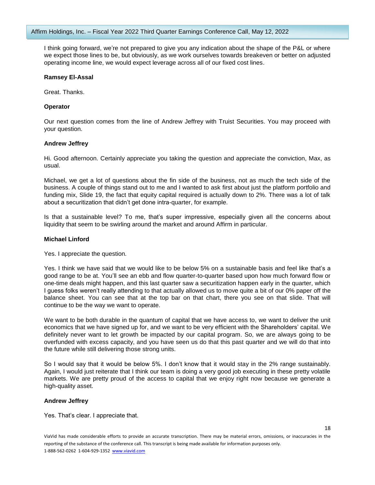I think going forward, we're not prepared to give you any indication about the shape of the P&L or where we expect those lines to be, but obviously, as we work ourselves towards breakeven or better on adjusted operating income line, we would expect leverage across all of our fixed cost lines.

#### **Ramsey El-Assal**

Great. Thanks.

#### **Operator**

Our next question comes from the line of Andrew Jeffrey with Truist Securities. You may proceed with your question.

#### **Andrew Jeffrey**

Hi. Good afternoon. Certainly appreciate you taking the question and appreciate the conviction, Max, as usual.

Michael, we get a lot of questions about the fin side of the business, not as much the tech side of the business. A couple of things stand out to me and I wanted to ask first about just the platform portfolio and funding mix, Slide 19, the fact that equity capital required is actually down to 2%. There was a lot of talk about a securitization that didn't get done intra-quarter, for example.

Is that a sustainable level? To me, that's super impressive, especially given all the concerns about liquidity that seem to be swirling around the market and around Affirm in particular.

#### **Michael Linford**

Yes. I appreciate the question.

Yes. I think we have said that we would like to be below 5% on a sustainable basis and feel like that's a good range to be at. You'll see an ebb and flow quarter-to-quarter based upon how much forward flow or one-time deals might happen, and this last quarter saw a securitization happen early in the quarter, which I guess folks weren't really attending to that actually allowed us to move quite a bit of our 0% paper off the balance sheet. You can see that at the top bar on that chart, there you see on that slide. That will continue to be the way we want to operate.

We want to be both durable in the quantum of capital that we have access to, we want to deliver the unit economics that we have signed up for, and we want to be very efficient with the Shareholders' capital. We definitely never want to let growth be impacted by our capital program. So, we are always going to be overfunded with excess capacity, and you have seen us do that this past quarter and we will do that into the future while still delivering those strong units.

So I would say that it would be below 5%. I don't know that it would stay in the 2% range sustainably. Again, I would just reiterate that I think our team is doing a very good job executing in these pretty volatile markets. We are pretty proud of the access to capital that we enjoy right now because we generate a high-quality asset.

## **Andrew Jeffrey**

Yes. That's clear. I appreciate that.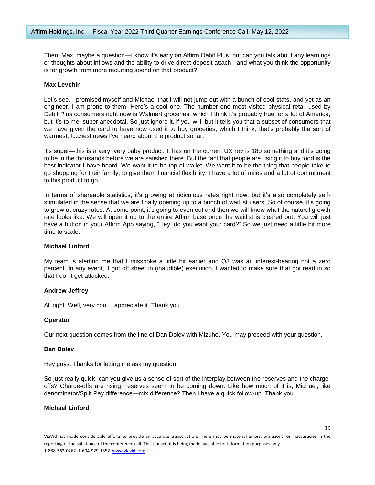Then, Max, maybe a question—I know it's early on Affirm Debit Plus, but can you talk about any learnings or thoughts about inflows and the ability to drive direct deposit attach , and what you think the opportunity is for growth from more recurring spend on that product?

#### **Max Levchin**

Let's see. I promised myself and Michael that I will not jump out with a bunch of cool stats, and yet as an engineer, I am prone to them. Here's a cool one. The number one most visited physical retail used by Debit Plus consumers right now is Walmart groceries, which I think it's probably true for a lot of America, but it's to me, super anecdotal. So just ignore it, if you will, but it tells you that a subset of consumers that we have given the card to have now used it to buy groceries, which I think, that's probably the sort of warmest, fuzziest news I've heard about the product so far.

It's super—this is a very, very baby product. It has on the current UX rev is 180 something and it's going to be in the thousands before we are satisfied there. But the fact that people are using it to buy food is the best indicator I have heard. We want it to be top of wallet. We want it to be the thing that people take to go shopping for their family, to give them financial flexibility. I have a lot of miles and a lot of commitment to this product to go.

In terms of shareable statistics, it's growing at ridiculous rates right now, but it's also completely selfstimulated in the sense that we are finally opening up to a bunch of waitlist users. So of course, it's going to grow at crazy rates. At some point, it's going to even out and then we will know what the natural growth rate looks like. We will open it up to the entire Affirm base once the waitlist is cleared out. You will just have a button in your Affirm App saying, "Hey, do you want your card?" So we just need a little bit more time to scale.

## **Michael Linford**

My team is alerting me that I misspoke a little bit earlier and Q3 was an interest-bearing not a zero percent. In any event, it got off sheet in (inaudible) execution. I wanted to make sure that got read in so that I don't get attacked.

## **Andrew Jeffrey**

All right. Well, very cool. I appreciate it. Thank you.

#### **Operator**

Our next question comes from the line of Dan Dolev with Mizuho. You may proceed with your question.

#### **Dan Dolev**

Hey guys. Thanks for letting me ask my question.

So just really quick, can you give us a sense of sort of the interplay between the reserves and the chargeoffs? Charge-offs are rising; reserves seem to be coming down. Like how much of it is, Michael, like denominator/Split Pay difference—mix difference? Then I have a quick follow-up. Thank you.

## **Michael Linford**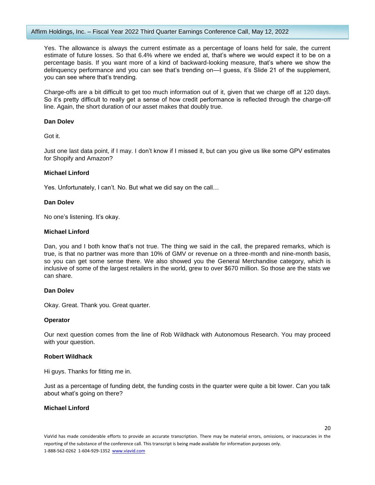Yes. The allowance is always the current estimate as a percentage of loans held for sale, the current estimate of future losses. So that 6.4% where we ended at, that's where we would expect it to be on a percentage basis. If you want more of a kind of backward-looking measure, that's where we show the delinquency performance and you can see that's trending on—I guess, it's Slide 21 of the supplement, you can see where that's trending.

Charge-offs are a bit difficult to get too much information out of it, given that we charge off at 120 days. So it's pretty difficult to really get a sense of how credit performance is reflected through the charge-off line. Again, the short duration of our asset makes that doubly true.

## **Dan Dolev**

Got it.

Just one last data point, if I may. I don't know if I missed it, but can you give us like some GPV estimates for Shopify and Amazon?

## **Michael Linford**

Yes. Unfortunately, I can't. No. But what we did say on the call…

## **Dan Dolev**

No one's listening. It's okay.

## **Michael Linford**

Dan, you and I both know that's not true. The thing we said in the call, the prepared remarks, which is true, is that no partner was more than 10% of GMV or revenue on a three-month and nine-month basis, so you can get some sense there. We also showed you the General Merchandise category, which is inclusive of some of the largest retailers in the world, grew to over \$670 million. So those are the stats we can share.

## **Dan Dolev**

Okay. Great. Thank you. Great quarter.

## **Operator**

Our next question comes from the line of Rob Wildhack with Autonomous Research. You may proceed with your question.

## **Robert Wildhack**

Hi guys. Thanks for fitting me in.

Just as a percentage of funding debt, the funding costs in the quarter were quite a bit lower. Can you talk about what's going on there?

# **Michael Linford**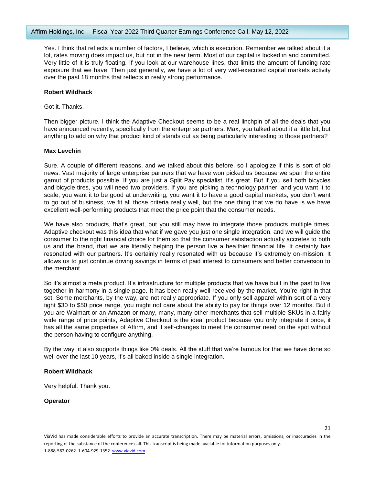Yes. I think that reflects a number of factors, I believe, which is execution. Remember we talked about it a lot, rates moving does impact us, but not in the near term. Most of our capital is locked in and committed. Very little of it is truly floating. If you look at our warehouse lines, that limits the amount of funding rate exposure that we have. Then just generally, we have a lot of very well-executed capital markets activity over the past 18 months that reflects in really strong performance.

#### **Robert Wildhack**

Got it. Thanks.

Then bigger picture, I think the Adaptive Checkout seems to be a real linchpin of all the deals that you have announced recently, specifically from the enterprise partners. Max, you talked about it a little bit, but anything to add on why that product kind of stands out as being particularly interesting to those partners?

#### **Max Levchin**

Sure. A couple of different reasons, and we talked about this before, so I apologize if this is sort of old news. Vast majority of large enterprise partners that we have won picked us because we span the entire gamut of products possible. If you are just a Split Pay specialist, it's great. But if you sell both bicycles and bicycle tires, you will need two providers. If you are picking a technology partner, and you want it to scale, you want it to be good at underwriting, you want it to have a good capital markets, you don't want to go out of business, we fit all those criteria really well, but the one thing that we do have is we have excellent well-performing products that meet the price point that the consumer needs.

We have also products, that's great, but you still may have to integrate those products multiple times. Adaptive checkout was this idea that what if we gave you just one single integration, and we will guide the consumer to the right financial choice for them so that the consumer satisfaction actually accretes to both us and the brand, that we are literally helping the person live a healthier financial life. It certainly has resonated with our partners. It's certainly really resonated with us because it's extremely on-mission. It allows us to just continue driving savings in terms of paid interest to consumers and better conversion to the merchant.

So it's almost a meta product. It's infrastructure for multiple products that we have built in the past to live together in harmony in a single page. It has been really well-received by the market. You're right in that set. Some merchants, by the way, are not really appropriate. If you only sell apparel within sort of a very tight \$30 to \$50 price range, you might not care about the ability to pay for things over 12 months. But if you are Walmart or an Amazon or many, many, many other merchants that sell multiple SKUs in a fairly wide range of price points, Adaptive Checkout is the ideal product because you only integrate it once, it has all the same properties of Affirm, and it self-changes to meet the consumer need on the spot without the person having to configure anything.

By the way, it also supports things like 0% deals. All the stuff that we're famous for that we have done so well over the last 10 years, it's all baked inside a single integration.

## **Robert Wildhack**

Very helpful. Thank you.

#### **Operator**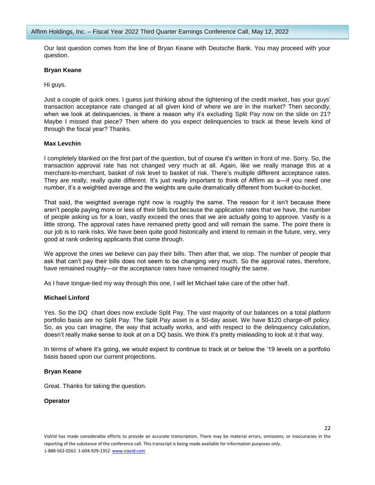Our last question comes from the line of Bryan Keane with Deutsche Bank. You may proceed with your question.

#### **Bryan Keane**

Hi guys.

Just a couple of quick ones. I guess just thinking about the tightening of the credit market, has your guys' transaction acceptance rate changed at all given kind of where we are in the market? Then secondly, when we look at delinquencies, is there a reason why it's excluding Split Pay now on the slide on 21? Maybe I missed that piece? Then where do you expect delinquencies to track at these levels kind of through the fiscal year? Thanks.

## **Max Levchin**

I completely blanked on the first part of the question, but of course it's written in front of me. Sorry. So, the transaction approval rate has not changed very much at all. Again, like we really manage this at a merchant-to-merchant, basket of risk level to basket of risk. There's multiple different acceptance rates. They are really, really quite different. It's just really important to think of Affirm as a—if you need one number, it's a weighted average and the weights are quite dramatically different from bucket-to-bucket.

That said, the weighted average right now is roughly the same. The reason for it isn't because there aren't people paying more or less of their bills but because the application rates that we have, the number of people asking us for a loan, vastly exceed the ones that we are actually going to approve. Vastly is a little strong. The approval rates have remained pretty good and will remain the same. The point there is our job is to rank risks. We have been quite good historically and intend to remain in the future, very, very good at rank ordering applicants that come through.

We approve the ones we believe can pay their bills. Then after that, we stop. The number of people that ask that can't pay their bills does not seem to be changing very much. So the approval rates, therefore, have remained roughly—or the acceptance rates have remained roughly the same.

As I have tongue-tied my way through this one, I will let Michael take care of the other half.

## **Michael Linford**

Yes. So the DQ chart does now exclude Split Pay. The vast majority of our balances on a total platform portfolio basis are no Split Pay. The Split Pay asset is a 50-day asset. We have \$120 charge-off policy. So, as you can imagine, the way that actually works, and with respect to the delinquency calculation, doesn't really make sense to look at on a DQ basis. We think it's pretty misleading to look at it that way.

In terms of where it's going, we would expect to continue to track at or below the '19 levels on a portfolio basis based upon our current projections.

#### **Bryan Keane**

Great. Thanks for taking the question.

#### **Operator**